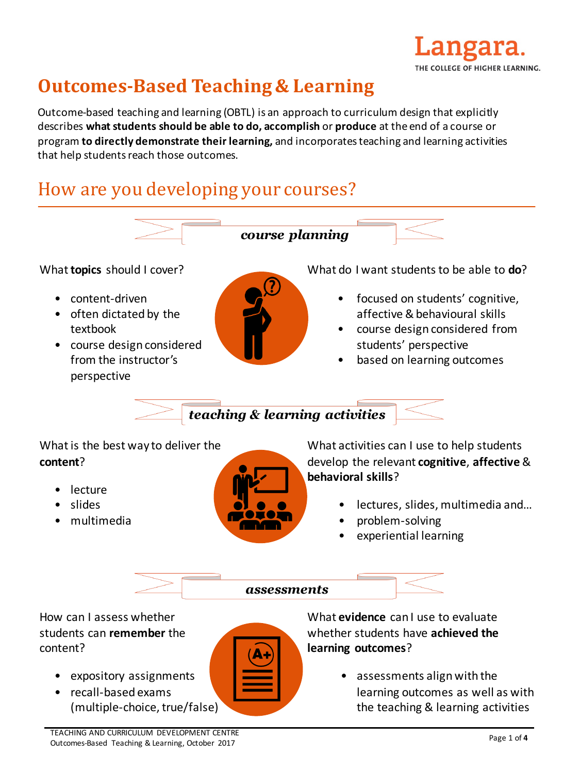

# **Outcomes-Based Teaching & Learning**

Outcome-based teaching and learning (OBTL) is an approach to curriculum design that explicitly describes what students should be able to do, accomplish or produce at the end of a course or program **to directly demonstrate their learning,** and incorporates teaching and learning activities that help students reach those outcomes.

# How are you developing your courses?



• assessments align with the learning outcomes as well as with the teaching & learning activities

(multiple-choice, true/false)

• recall-based exams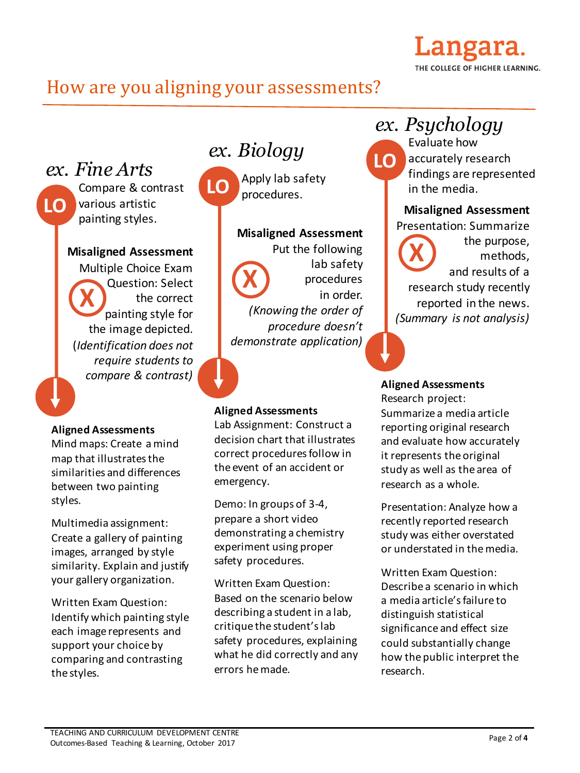### angara. THE COLLEGE OF HIGHER LEARNING.

## How are you aligning your assessments?

*ex. Fine Arts*

**LO**

Compare & contrast various artistic painting styles.

### **Misaligned Assessment**

Multiple Choice Exam Question: Select the correct painting style for the image depicted. (*Identification does not require students to compare & contrast)* **X**

### **Aligned Assessments**

Mind maps: Create a mind map that illustrates the similarities and differences between two painting styles.

Multimedia assignment: Create a gallery of painting images, arranged by style similarity. Explain and justify your gallery organization.

Written Exam Question: Identify which painting style each image represents and support your choice by comparing and contrasting the styles.

# *ex. Biology*

Apply lab safety LO **PROPILIBUS**<br>procedures.

> **Misaligned Assessment** Put the following lab safety procedures in order. *(Knowing the order of procedure doesn't demonstrate application)* **X**

### **Aligned Assessments**

Lab Assignment: Construct a decision chart that illustrates correct procedures follow in the event of an accident or emergency.

Demo: In groups of 3-4, prepare a short video demonstrating a chemistry experiment using proper safety procedures.

Written Exam Question: Based on the scenario below describing a student in a lab, critique the student's lab safety procedures, explaining what he did correctly and any errors he made.

# *ex. Psychology*

Evaluate how accurately research findings are represented in the media. **LO**

### **Misaligned Assessment**

Presentation: Summarize

the purpose, methods, and results of a research study recently reported in the news. *(Summary is not analysis)* **X**

### **Aligned Assessments** Research project: Summarize a media article reporting original research and evaluate how accurately it represents the original study as well as the area of

research as a whole.

Presentation: Analyze how a recently reported research study was either overstated or understated in the media.

Written Exam Question: Describe a scenario in which a media article's failure to distinguish statistical significance and effect size could substantially change how the public interpret the research.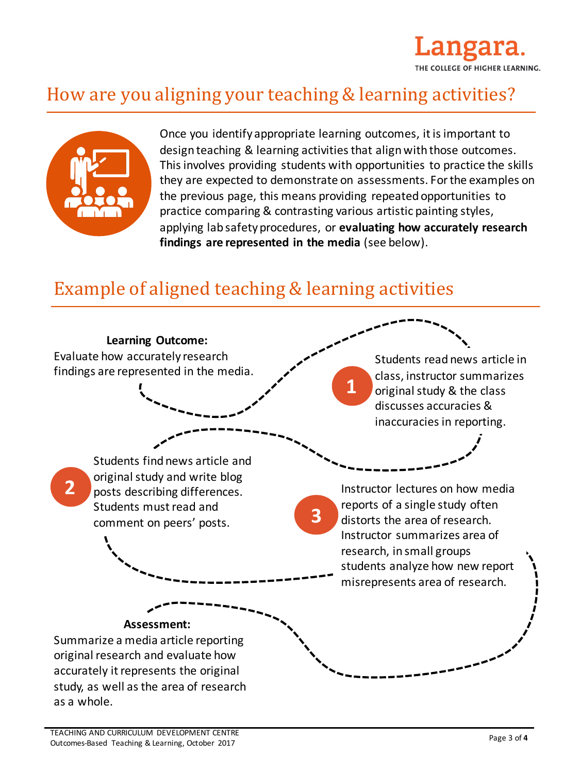

# How are you aligning your teaching & learning activities?



Once you identify appropriate learning outcomes, it is important to design teaching & learning activities that align with those outcomes. This involves providing students with opportunities to practice the skills they are expected to demonstrate on assessments. For the examples on the previous page, this means providing repeated opportunities to practice comparing & contrasting various artistic painting styles, applying lab safety procedures, or **evaluating how accurately research** findings are represented in the media (see below).

# Example of aligned teaching & learning activities